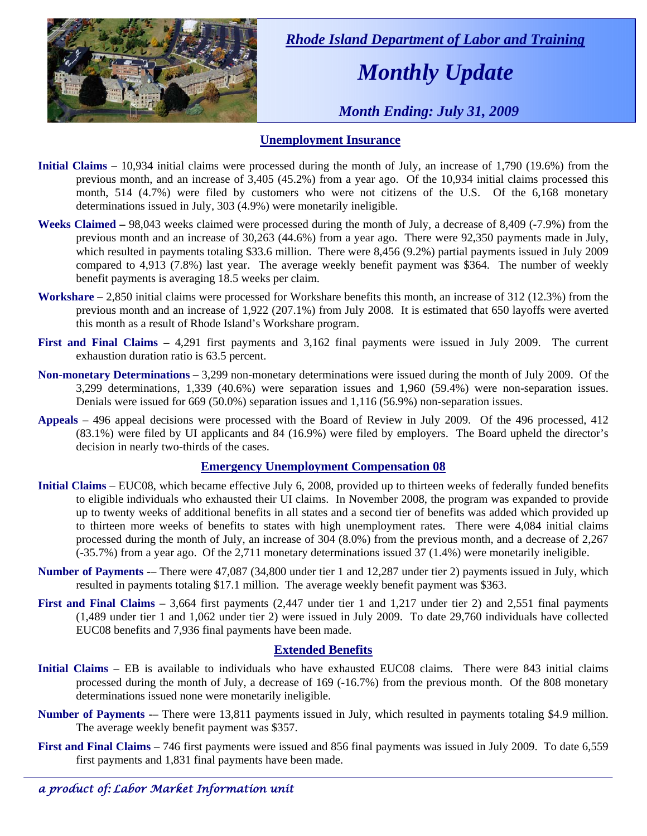

 *Rhode Island Department of Labor and Training* 

## *Monthly Update*

 *Month Ending: July 31, 2009* 

#### **Unemployment Insurance**

- **Initial Claims** 10,934 initial claims were processed during the month of July, an increase of 1,790 (19.6%) from the previous month, and an increase of 3,405 (45.2%) from a year ago. Of the 10,934 initial claims processed this month, 514 (4.7%) were filed by customers who were not citizens of the U.S. Of the 6,168 monetary determinations issued in July, 303 (4.9%) were monetarily ineligible.
- **Weeks Claimed** 98,043 weeks claimed were processed during the month of July, a decrease of 8,409 (-7.9%) from the previous month and an increase of 30,263 (44.6%) from a year ago. There were 92,350 payments made in July, which resulted in payments totaling \$33.6 million. There were 8,456 (9.2%) partial payments issued in July 2009 compared to 4,913 (7.8%) last year. The average weekly benefit payment was \$364. The number of weekly benefit payments is averaging 18.5 weeks per claim.
- **Workshare –** 2,850 initial claims were processed for Workshare benefits this month, an increase of 312 (12.3%) from the previous month and an increase of 1,922 (207.1%) from July 2008. It is estimated that 650 layoffs were averted this month as a result of Rhode Island's Workshare program.
- **First and Final Claims –** 4,291 first payments and 3,162 final payments were issued in July 2009. The current exhaustion duration ratio is 63.5 percent.
- **Non-monetary Determinations –** 3,299 non-monetary determinations were issued during the month of July 2009. Of the 3,299 determinations, 1,339 (40.6%) were separation issues and 1,960 (59.4%) were non-separation issues. Denials were issued for 669 (50.0%) separation issues and 1,116 (56.9%) non-separation issues.
- **Appeals** 496 appeal decisions were processed with the Board of Review in July 2009. Of the 496 processed, 412 (83.1%) were filed by UI applicants and 84 (16.9%) were filed by employers. The Board upheld the director's decision in nearly two-thirds of the cases.

#### **Emergency Unemployment Compensation 08**

- **Initial Claims**  EUC08, which became effective July 6, 2008, provided up to thirteen weeks of federally funded benefits to eligible individuals who exhausted their UI claims. In November 2008, the program was expanded to provide up to twenty weeks of additional benefits in all states and a second tier of benefits was added which provided up to thirteen more weeks of benefits to states with high unemployment rates. There were 4,084 initial claims processed during the month of July, an increase of 304 (8.0%) from the previous month, and a decrease of 2,267 (-35.7%) from a year ago. Of the 2,711 monetary determinations issued 37 (1.4%) were monetarily ineligible.
- **Number of Payments** -– There were 47,087 (34,800 under tier 1 and 12,287 under tier 2) payments issued in July, which resulted in payments totaling \$17.1 million. The average weekly benefit payment was \$363.
- **First and Final Claims**  3,664 first payments (2,447 under tier 1 and 1,217 under tier 2) and 2,551 final payments (1,489 under tier 1 and 1,062 under tier 2) were issued in July 2009. To date 29,760 individuals have collected EUC08 benefits and 7,936 final payments have been made.

### **Extended Benefits**

- **Initial Claims**  EB is available to individuals who have exhausted EUC08 claims. There were 843 initial claims processed during the month of July, a decrease of 169 (-16.7%) from the previous month. Of the 808 monetary determinations issued none were monetarily ineligible.
- **Number of Payments** -– There were 13,811 payments issued in July, which resulted in payments totaling \$4.9 million. The average weekly benefit payment was \$357.
- **First and Final Claims** 746 first payments were issued and 856 final payments was issued in July 2009. To date 6,559 first payments and 1,831 final payments have been made.